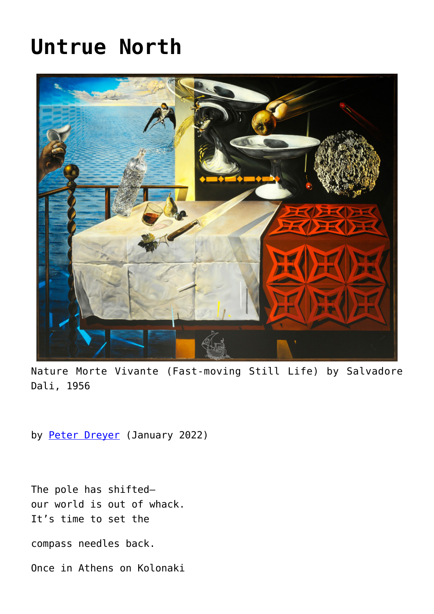## **[Untrue North](https://www.newenglishreview.org/articles/untrue-north/)**



Nature Morte Vivante (Fast-moving Still Life) by Salvadore Dali, 1956

by [Peter Dreyer](https://www.newenglishreview.org/authors/peter-dreyer/) (January 2022)

The pole has shifted our world is out of whack. It's time to set the

compass needles back.

Once in Athens on Kolonaki